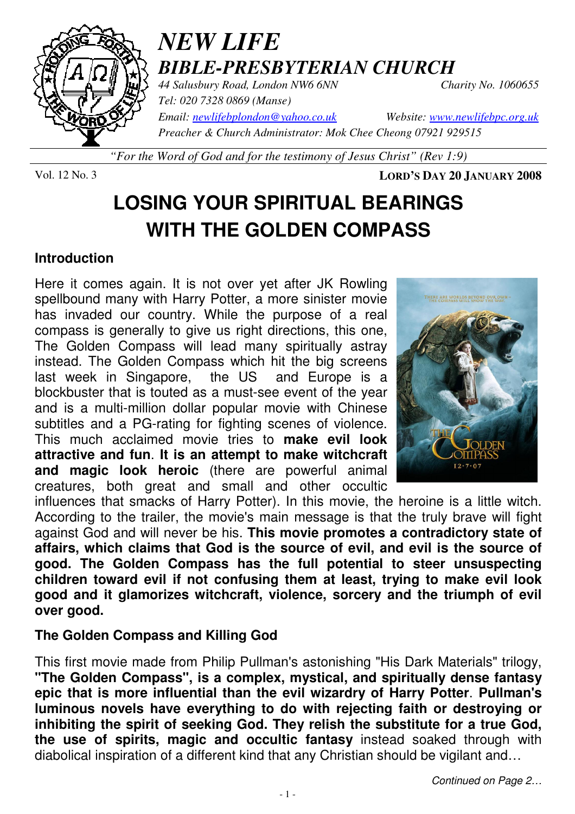

# *NEW LIFE BIBLE-PRESBYTERIAN CHURCH*

*44 Salusbury Road, London NW6 6NN Charity No. 1060655 Tel: 020 7328 0869 (Manse) Email: newlifebplondon@yahoo.co.uk Website: www.newlifebpc.org.uk Preacher & Church Administrator: Mok Chee Cheong 07921 929515* 

*"For the Word of God and for the testimony of Jesus Christ" (Rev 1:9)*

Vol. 12 No. 3 **LORD'S DAY 20 JANUARY 2008**

# **LOSING YOUR SPIRITUAL BEARINGS WITH THE GOLDEN COMPASS**

#### **Introduction**

Here it comes again. It is not over yet after JK Rowling spellbound many with Harry Potter, a more sinister movie has invaded our country. While the purpose of a real compass is generally to give us right directions, this one, The Golden Compass will lead many spiritually astray instead. The Golden Compass which hit the big screens last week in Singapore, the US and Europe is a blockbuster that is touted as a must-see event of the year and is a multi-million dollar popular movie with Chinese subtitles and a PG-rating for fighting scenes of violence. This much acclaimed movie tries to **make evil look attractive and fun**. **It is an attempt to make witchcraft and magic look heroic** (there are powerful animal creatures, both great and small and other occultic



influences that smacks of Harry Potter). In this movie, the heroine is a little witch. According to the trailer, the movie's main message is that the truly brave will fight against God and will never be his. **This movie promotes a contradictory state of affairs, which claims that God is the source of evil, and evil is the source of good. The Golden Compass has the full potential to steer unsuspecting children toward evil if not confusing them at least, trying to make evil look good and it glamorizes witchcraft, violence, sorcery and the triumph of evil over good.**

#### **The Golden Compass and Killing God**

This first movie made from Philip Pullman's astonishing "His Dark Materials" trilogy, **"The Golden Compass", is a complex, mystical, and spiritually dense fantasy epic that is more influential than the evil wizardry of Harry Potter**. **Pullman's luminous novels have everything to do with rejecting faith or destroying or inhibiting the spirit of seeking God. They relish the substitute for a true God, the use of spirits, magic and occultic fantasy** instead soaked through with diabolical inspiration of a different kind that any Christian should be vigilant and…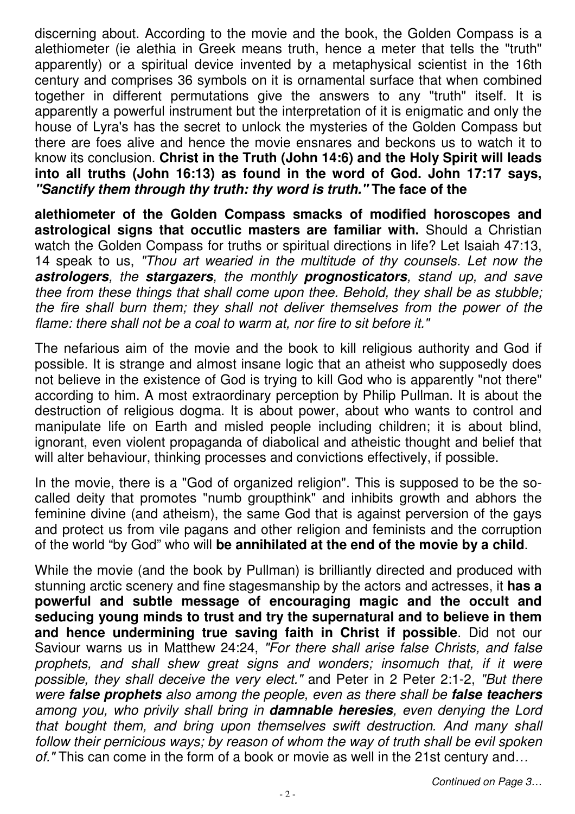discerning about. According to the movie and the book, the Golden Compass is a alethiometer (ie alethia in Greek means truth, hence a meter that tells the "truth" apparently) or a spiritual device invented by a metaphysical scientist in the 16th century and comprises 36 symbols on it is ornamental surface that when combined together in different permutations give the answers to any "truth" itself. It is apparently a powerful instrument but the interpretation of it is enigmatic and only the house of Lyra's has the secret to unlock the mysteries of the Golden Compass but there are foes alive and hence the movie ensnares and beckons us to watch it to know its conclusion. **Christ in the Truth (John 14:6) and the Holy Spirit will leads into all truths (John 16:13) as found in the word of God. John 17:17 says, "Sanctify them through thy truth: thy word is truth." The face of the**

**alethiometer of the Golden Compass smacks of modified horoscopes and astrological signs that occutlic masters are familiar with.** Should a Christian watch the Golden Compass for truths or spiritual directions in life? Let Isaiah 47:13, 14 speak to us, "Thou art wearied in the multitude of thy counsels. Let now the **astrologers**, the **stargazers**, the monthly **prognosticators**, stand up, and save thee from these things that shall come upon thee. Behold, they shall be as stubble; the fire shall burn them; they shall not deliver themselves from the power of the flame: there shall not be a coal to warm at, nor fire to sit before it."

The nefarious aim of the movie and the book to kill religious authority and God if possible. It is strange and almost insane logic that an atheist who supposedly does not believe in the existence of God is trying to kill God who is apparently "not there" according to him. A most extraordinary perception by Philip Pullman. It is about the destruction of religious dogma. It is about power, about who wants to control and manipulate life on Earth and misled people including children; it is about blind, ignorant, even violent propaganda of diabolical and atheistic thought and belief that will alter behaviour, thinking processes and convictions effectively, if possible.

In the movie, there is a "God of organized religion". This is supposed to be the socalled deity that promotes "numb groupthink" and inhibits growth and abhors the feminine divine (and atheism), the same God that is against perversion of the gays and protect us from vile pagans and other religion and feminists and the corruption of the world "by God" who will **be annihilated at the end of the movie by a child**.

While the movie (and the book by Pullman) is brilliantly directed and produced with stunning arctic scenery and fine stagesmanship by the actors and actresses, it **has a powerful and subtle message of encouraging magic and the occult and seducing young minds to trust and try the supernatural and to believe in them and hence undermining true saving faith in Christ if possible**. Did not our Saviour warns us in Matthew 24:24, "For there shall arise false Christs, and false prophets, and shall shew great signs and wonders; insomuch that, if it were possible, they shall deceive the very elect." and Peter in 2 Peter 2:1-2, "But there were **false prophets** also among the people, even as there shall be **false teachers** among you, who privily shall bring in **damnable heresies**, even denying the Lord that bought them, and bring upon themselves swift destruction. And many shall follow their pernicious ways; by reason of whom the way of truth shall be evil spoken of." This can come in the form of a book or movie as well in the 21st century and...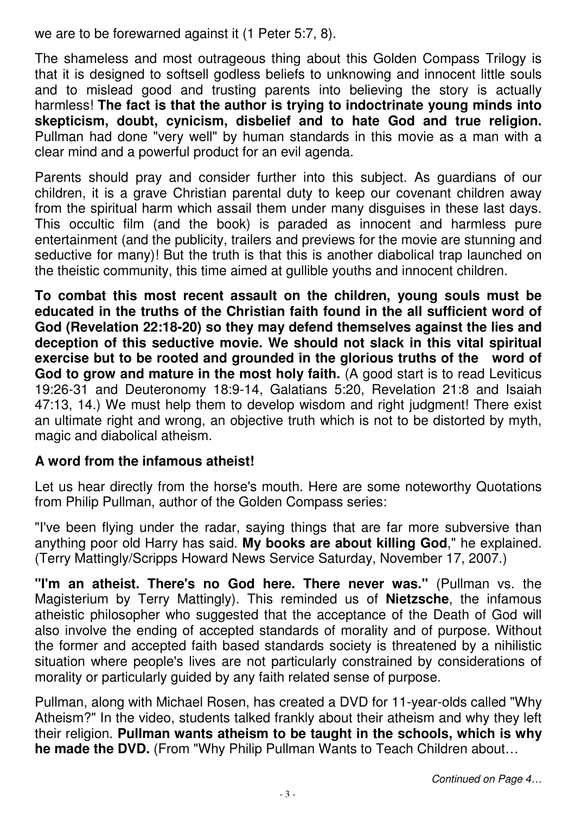we are to be forewarned against it (1 Peter 5:7, 8).

The shameless and most outrageous thing about this Golden Compass Trilogy is that it is designed to softsell godless beliefs to unknowing and innocent little souls and to mislead good and trusting parents into believing the story is actually harmless! **The fact is that the author is trying to indoctrinate young minds into skepticism, doubt, cynicism, disbelief and to hate God and true religion.** Pullman had done "very well" by human standards in this movie as a man with a clear mind and a powerful product for an evil agenda.

Parents should pray and consider further into this subject. As guardians of our children, it is a grave Christian parental duty to keep our covenant children away from the spiritual harm which assail them under many disguises in these last days. This occultic film (and the book) is paraded as innocent and harmless pure entertainment (and the publicity, trailers and previews for the movie are stunning and seductive for many)! But the truth is that this is another diabolical trap launched on the theistic community, this time aimed at gullible youths and innocent children.

**To combat this most recent assault on the children, young souls must be educated in the truths of the Christian faith found in the all sufficient word of God (Revelation 22:18-20) so they may defend themselves against the lies and deception of this seductive movie. We should not slack in this vital spiritual exercise but to be rooted and grounded in the glorious truths of the word of God to grow and mature in the most holy faith.** (A good start is to read Leviticus 19:26-31 and Deuteronomy 18:9-14, Galatians 5:20, Revelation 21:8 and Isaiah 47:13, 14.) We must help them to develop wisdom and right judgment! There exist an ultimate right and wrong, an objective truth which is not to be distorted by myth, magic and diabolical atheism.

#### **A word from the infamous atheist!**

Let us hear directly from the horse's mouth. Here are some noteworthy Quotations from Philip Pullman, author of the Golden Compass series:

"I've been flying under the radar, saying things that are far more subversive than anything poor old Harry has said. **My books are about killing God**," he explained. (Terry Mattingly/Scripps Howard News Service Saturday, November 17, 2007.)

**"I'm an atheist. There's no God here. There never was."** (Pullman vs. the Magisterium by Terry Mattingly). This reminded us of **Nietzsche**, the infamous atheistic philosopher who suggested that the acceptance of the Death of God will also involve the ending of accepted standards of morality and of purpose. Without the former and accepted faith based standards society is threatened by a nihilistic situation where people's lives are not particularly constrained by considerations of morality or particularly guided by any faith related sense of purpose.

Pullman, along with Michael Rosen, has created a DVD for 11-year-olds called "Why Atheism?" In the video, students talked frankly about their atheism and why they left their religion. **Pullman wants atheism to be taught in the schools, which is why he made the DVD.** (From "Why Philip Pullman Wants to Teach Children about…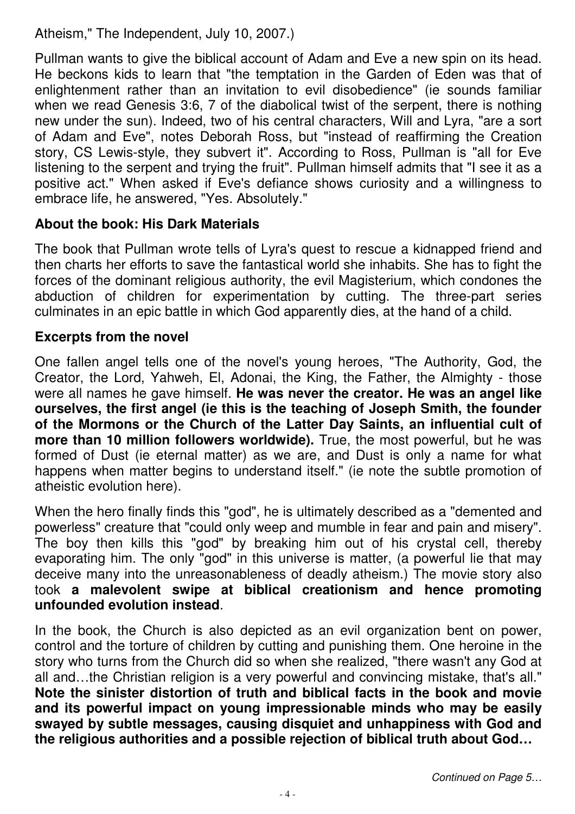Atheism," The Independent, July 10, 2007.)

Pullman wants to give the biblical account of Adam and Eve a new spin on its head. He beckons kids to learn that "the temptation in the Garden of Eden was that of enlightenment rather than an invitation to evil disobedience" (ie sounds familiar when we read Genesis 3:6, 7 of the diabolical twist of the serpent, there is nothing new under the sun). Indeed, two of his central characters, Will and Lyra, "are a sort of Adam and Eve", notes Deborah Ross, but "instead of reaffirming the Creation story, CS Lewis-style, they subvert it". According to Ross, Pullman is "all for Eve listening to the serpent and trying the fruit". Pullman himself admits that "I see it as a positive act." When asked if Eve's defiance shows curiosity and a willingness to embrace life, he answered, "Yes. Absolutely."

#### **About the book: His Dark Materials**

The book that Pullman wrote tells of Lyra's quest to rescue a kidnapped friend and then charts her efforts to save the fantastical world she inhabits. She has to fight the forces of the dominant religious authority, the evil Magisterium, which condones the abduction of children for experimentation by cutting. The three-part series culminates in an epic battle in which God apparently dies, at the hand of a child.

#### **Excerpts from the novel**

One fallen angel tells one of the novel's young heroes, "The Authority, God, the Creator, the Lord, Yahweh, El, Adonai, the King, the Father, the Almighty - those were all names he gave himself. **He was never the creator. He was an angel like ourselves, the first angel (ie this is the teaching of Joseph Smith, the founder of the Mormons or the Church of the Latter Day Saints, an influential cult of more than 10 million followers worldwide).** True, the most powerful, but he was formed of Dust (ie eternal matter) as we are, and Dust is only a name for what happens when matter begins to understand itself." (ie note the subtle promotion of atheistic evolution here).

When the hero finally finds this "god", he is ultimately described as a "demented and powerless" creature that "could only weep and mumble in fear and pain and misery". The boy then kills this "god" by breaking him out of his crystal cell, thereby evaporating him. The only "god" in this universe is matter, (a powerful lie that may deceive many into the unreasonableness of deadly atheism.) The movie story also took **a malevolent swipe at biblical creationism and hence promoting unfounded evolution instead**.

In the book, the Church is also depicted as an evil organization bent on power, control and the torture of children by cutting and punishing them. One heroine in the story who turns from the Church did so when she realized, "there wasn't any God at all and…the Christian religion is a very powerful and convincing mistake, that's all." **Note the sinister distortion of truth and biblical facts in the book and movie and its powerful impact on young impressionable minds who may be easily swayed by subtle messages, causing disquiet and unhappiness with God and the religious authorities and a possible rejection of biblical truth about God…**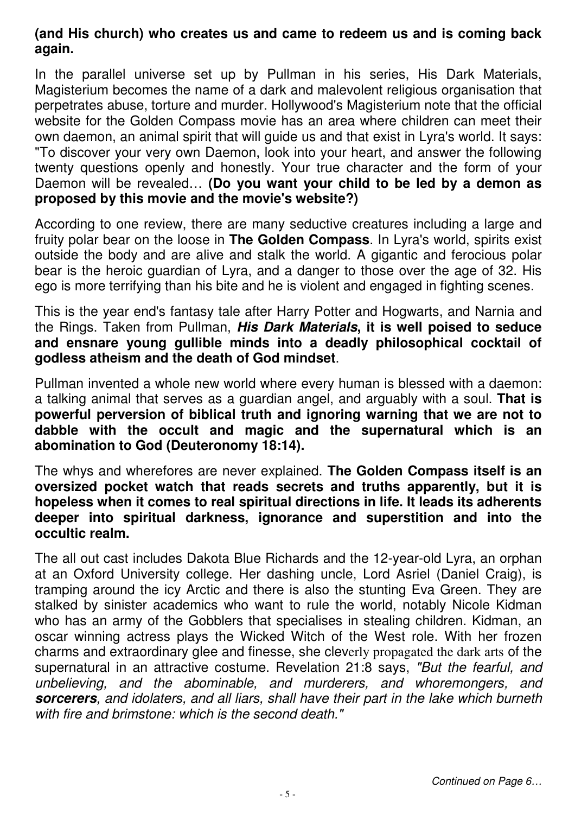#### **(and His church) who creates us and came to redeem us and is coming back again.**

In the parallel universe set up by Pullman in his series, His Dark Materials, Magisterium becomes the name of a dark and malevolent religious organisation that perpetrates abuse, torture and murder. Hollywood's Magisterium note that the official website for the Golden Compass movie has an area where children can meet their own daemon, an animal spirit that will guide us and that exist in Lyra's world. It says: "To discover your very own Daemon, look into your heart, and answer the following twenty questions openly and honestly. Your true character and the form of your Daemon will be revealed… **(Do you want your child to be led by a demon as proposed by this movie and the movie's website?)**

According to one review, there are many seductive creatures including a large and fruity polar bear on the loose in **The Golden Compass**. In Lyra's world, spirits exist outside the body and are alive and stalk the world. A gigantic and ferocious polar bear is the heroic guardian of Lyra, and a danger to those over the age of 32. His ego is more terrifying than his bite and he is violent and engaged in fighting scenes.

This is the year end's fantasy tale after Harry Potter and Hogwarts, and Narnia and the Rings. Taken from Pullman, **His Dark Materials, it is well poised to seduce and ensnare young gullible minds into a deadly philosophical cocktail of godless atheism and the death of God mindset**.

Pullman invented a whole new world where every human is blessed with a daemon: a talking animal that serves as a guardian angel, and arguably with a soul. **That is powerful perversion of biblical truth and ignoring warning that we are not to dabble with the occult and magic and the supernatural which is an abomination to God (Deuteronomy 18:14).**

The whys and wherefores are never explained. **The Golden Compass itself is an oversized pocket watch that reads secrets and truths apparently, but it is hopeless when it comes to real spiritual directions in life. It leads its adherents deeper into spiritual darkness, ignorance and superstition and into the occultic realm.**

The all out cast includes Dakota Blue Richards and the 12-year-old Lyra, an orphan at an Oxford University college. Her dashing uncle, Lord Asriel (Daniel Craig), is tramping around the icy Arctic and there is also the stunting Eva Green. They are stalked by sinister academics who want to rule the world, notably Nicole Kidman who has an army of the Gobblers that specialises in stealing children. Kidman, an oscar winning actress plays the Wicked Witch of the West role. With her frozen charms and extraordinary glee and finesse, she cleverly propagated the dark arts of the supernatural in an attractive costume. Revelation 21:8 says, "But the fearful, and unbelieving, and the abominable, and murderers, and whoremongers, and **sorcerers**, and idolaters, and all liars, shall have their part in the lake which burneth with fire and brimstone: which is the second death."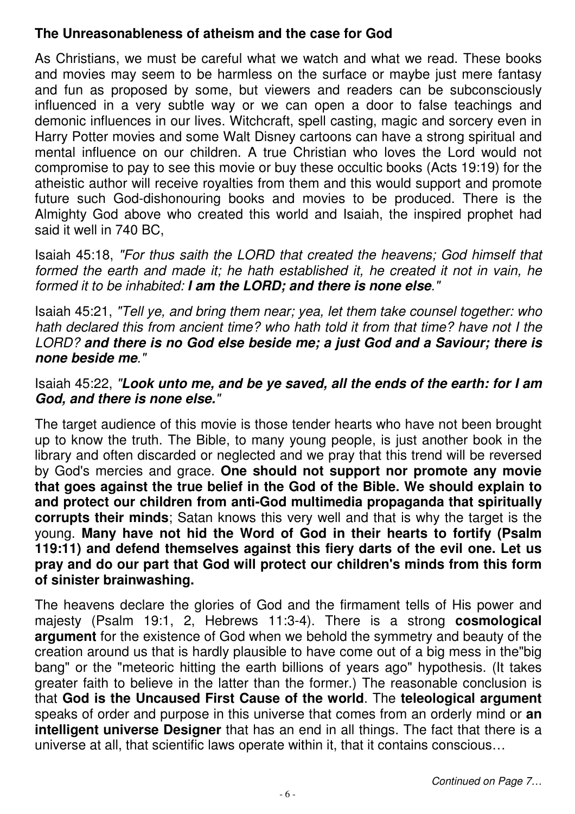#### **The Unreasonableness of atheism and the case for God**

As Christians, we must be careful what we watch and what we read. These books and movies may seem to be harmless on the surface or maybe just mere fantasy and fun as proposed by some, but viewers and readers can be subconsciously influenced in a very subtle way or we can open a door to false teachings and demonic influences in our lives. Witchcraft, spell casting, magic and sorcery even in Harry Potter movies and some Walt Disney cartoons can have a strong spiritual and mental influence on our children. A true Christian who loves the Lord would not compromise to pay to see this movie or buy these occultic books (Acts 19:19) for the atheistic author will receive royalties from them and this would support and promote future such God-dishonouring books and movies to be produced. There is the Almighty God above who created this world and Isaiah, the inspired prophet had said it well in 740 BC,

Isaiah 45:18, "For thus saith the LORD that created the heavens; God himself that formed the earth and made it; he hath established it, he created it not in vain, he formed it to be inhabited: **I am the LORD; and there is none else**."

Isaiah 45:21, "Tell ye, and bring them near; yea, let them take counsel together: who hath declared this from ancient time? who hath told it from that time? have not I the LORD? **and there is no God else beside me; a just God and a Saviour; there is none beside me**."

#### Isaiah 45:22, "**Look unto me, and be ye saved, all the ends of the earth: for I am God, and there is none else.**"

The target audience of this movie is those tender hearts who have not been brought up to know the truth. The Bible, to many young people, is just another book in the library and often discarded or neglected and we pray that this trend will be reversed by God's mercies and grace. **One should not support nor promote any movie that goes against the true belief in the God of the Bible. We should explain to and protect our children from anti-God multimedia propaganda that spiritually corrupts their minds**; Satan knows this very well and that is why the target is the young. **Many have not hid the Word of God in their hearts to fortify (Psalm 119:11) and defend themselves against this fiery darts of the evil one. Let us pray and do our part that God will protect our children's minds from this form of sinister brainwashing.**

The heavens declare the glories of God and the firmament tells of His power and majesty (Psalm 19:1, 2, Hebrews 11:3-4). There is a strong **cosmological argument** for the existence of God when we behold the symmetry and beauty of the creation around us that is hardly plausible to have come out of a big mess in the"big bang" or the "meteoric hitting the earth billions of years ago" hypothesis. (It takes greater faith to believe in the latter than the former.) The reasonable conclusion is that **God is the Uncaused First Cause of the world**. The **teleological argument** speaks of order and purpose in this universe that comes from an orderly mind or **an intelligent universe Designer** that has an end in all things. The fact that there is a universe at all, that scientific laws operate within it, that it contains conscious…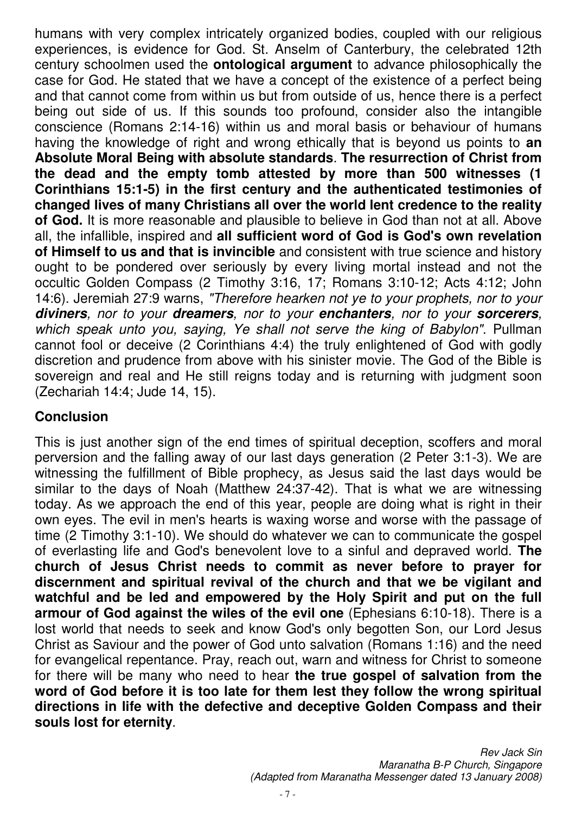humans with very complex intricately organized bodies, coupled with our religious experiences, is evidence for God. St. Anselm of Canterbury, the celebrated 12th century schoolmen used the **ontological argument** to advance philosophically the case for God. He stated that we have a concept of the existence of a perfect being and that cannot come from within us but from outside of us, hence there is a perfect being out side of us. If this sounds too profound, consider also the intangible conscience (Romans 2:14-16) within us and moral basis or behaviour of humans having the knowledge of right and wrong ethically that is beyond us points to **an Absolute Moral Being with absolute standards**. **The resurrection of Christ from the dead and the empty tomb attested by more than 500 witnesses (1 Corinthians 15:1-5) in the first century and the authenticated testimonies of changed lives of many Christians all over the world lent credence to the reality of God.** It is more reasonable and plausible to believe in God than not at all. Above all, the infallible, inspired and **all sufficient word of God is God's own revelation of Himself to us and that is invincible** and consistent with true science and history ought to be pondered over seriously by every living mortal instead and not the occultic Golden Compass (2 Timothy 3:16, 17; Romans 3:10-12; Acts 4:12; John 14:6). Jeremiah 27:9 warns, "Therefore hearken not ye to your prophets, nor to your **diviners**, nor to your **dreamers**, nor to your **enchanters**, nor to your **sorcerers**, which speak unto you, saying, Ye shall not serve the king of Babylon". Pullman cannot fool or deceive (2 Corinthians 4:4) the truly enlightened of God with godly discretion and prudence from above with his sinister movie. The God of the Bible is sovereign and real and He still reigns today and is returning with judgment soon (Zechariah 14:4; Jude 14, 15).

#### **Conclusion**

This is just another sign of the end times of spiritual deception, scoffers and moral perversion and the falling away of our last days generation (2 Peter 3:1-3). We are witnessing the fulfillment of Bible prophecy, as Jesus said the last days would be similar to the days of Noah (Matthew 24:37-42). That is what we are witnessing today. As we approach the end of this year, people are doing what is right in their own eyes. The evil in men's hearts is waxing worse and worse with the passage of time (2 Timothy 3:1-10). We should do whatever we can to communicate the gospel of everlasting life and God's benevolent love to a sinful and depraved world. **The church of Jesus Christ needs to commit as never before to prayer for discernment and spiritual revival of the church and that we be vigilant and watchful and be led and empowered by the Holy Spirit and put on the full armour of God against the wiles of the evil one** (Ephesians 6:10-18). There is a lost world that needs to seek and know God's only begotten Son, our Lord Jesus Christ as Saviour and the power of God unto salvation (Romans 1:16) and the need for evangelical repentance. Pray, reach out, warn and witness for Christ to someone for there will be many who need to hear **the true gospel of salvation from the word of God before it is too late for them lest they follow the wrong spiritual directions in life with the defective and deceptive Golden Compass and their souls lost for eternity**.